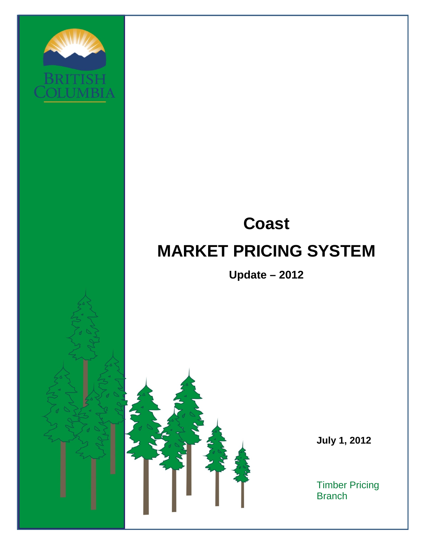

# **Coast MARKET PRICING SYSTEM**

**Update – 2012** 



 **July 1, 2012** 

Timber Pricing **Branch**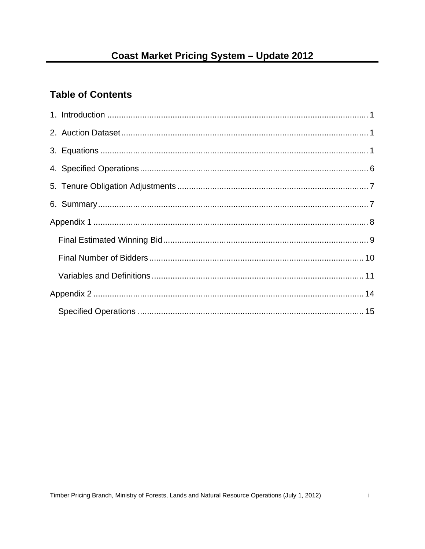# **Table of Contents**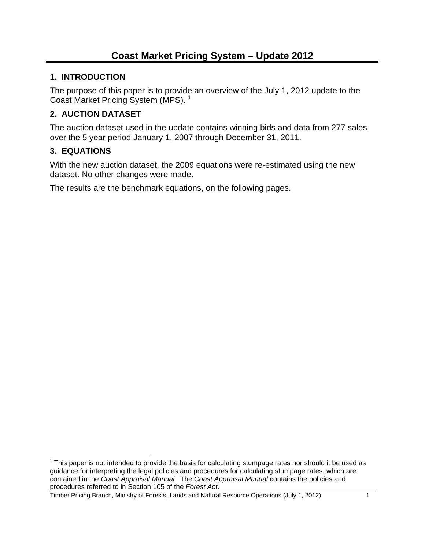#### **1. INTRODUCTION**

The purpose of this paper is to provide an overview of the July 1, 2012 update to the Coast Market Pricing System (MPS). 1

# **2. AUCTION DATASET**

The auction dataset used in the update contains winning bids and data from 277 sales over the 5 year period January 1, 2007 through December 31, 2011.

#### **3. EQUATIONS**

With the new auction dataset, the 2009 equations were re-estimated using the new dataset. No other changes were made.

The results are the benchmark equations, on the following pages.

 $\overline{a}$  $<sup>1</sup>$  This paper is not intended to provide the basis for calculating stumpage rates nor should it be used as</sup> guidance for interpreting the legal policies and procedures for calculating stumpage rates, which are contained in the *Coast Appraisal Manual*. The *Coast Appraisal Manual* contains the policies and procedures referred to in Section 105 of the *Forest Act*.

Timber Pricing Branch, Ministry of Forests, Lands and Natural Resource Operations (July 1, 2012) 1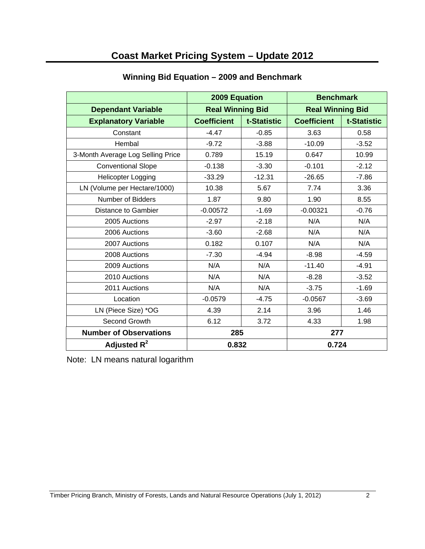# **Coast Market Pricing System – Update 2012**

|                                   | 2009 Equation           |             | <b>Benchmark</b>        |             |
|-----------------------------------|-------------------------|-------------|-------------------------|-------------|
| <b>Dependant Variable</b>         | <b>Real Winning Bid</b> |             | <b>Real Winning Bid</b> |             |
| <b>Explanatory Variable</b>       | <b>Coefficient</b>      | t-Statistic | <b>Coefficient</b>      | t-Statistic |
| Constant                          | $-4.47$                 | $-0.85$     | 3.63                    | 0.58        |
| Hembal                            | $-9.72$                 | $-3.88$     | $-10.09$                | $-3.52$     |
| 3-Month Average Log Selling Price | 0.789                   | 15.19       | 0.647                   | 10.99       |
| <b>Conventional Slope</b>         | $-0.138$                | $-3.30$     | $-0.101$                | $-2.12$     |
| <b>Helicopter Logging</b>         | $-33.29$                | $-12.31$    | $-26.65$                | $-7.86$     |
| LN (Volume per Hectare/1000)      | 10.38                   | 5.67        | 7.74                    | 3.36        |
| Number of Bidders                 | 1.87                    | 9.80        | 1.90                    | 8.55        |
| <b>Distance to Gambier</b>        | $-0.00572$              | $-1.69$     | $-0.00321$              | $-0.76$     |
| 2005 Auctions                     | $-2.97$                 | $-2.18$     | N/A                     | N/A         |
| 2006 Auctions                     | $-3.60$                 | $-2.68$     | N/A                     | N/A         |
| 2007 Auctions                     | 0.182                   | 0.107       | N/A                     | N/A         |
| 2008 Auctions                     | $-7.30$                 | $-4.94$     | $-8.98$                 | $-4.59$     |
| 2009 Auctions                     | N/A                     | N/A         | $-11.40$                | $-4.91$     |
| 2010 Auctions                     | N/A                     | N/A         | $-8.28$                 | $-3.52$     |
| 2011 Auctions                     | N/A                     | N/A         | $-3.75$                 | $-1.69$     |
| Location                          | $-0.0579$               | $-4.75$     | $-0.0567$               | $-3.69$     |
| LN (Piece Size) *OG               | 4.39                    | 2.14        | 3.96                    | 1.46        |
| Second Growth                     | 6.12                    | 3.72        | 4.33                    | 1.98        |
| <b>Number of Observations</b>     | 285                     |             | 277                     |             |
| Adjusted $R^2$                    | 0.832                   |             | 0.724                   |             |

#### **Winning Bid Equation – 2009 and Benchmark**

Note: LN means natural logarithm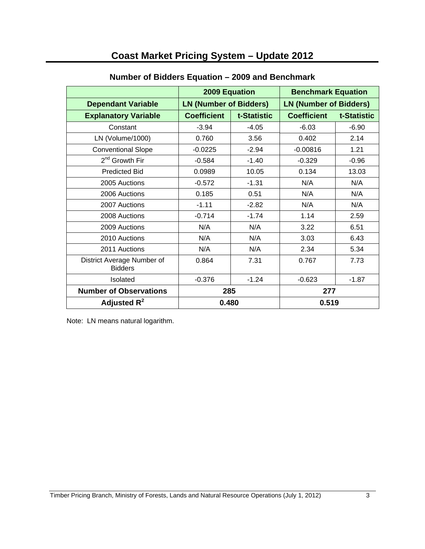# **Coast Market Pricing System – Update 2012**

|                                              | <b>2009 Equation</b> |                               | <b>Benchmark Equation</b> |                               |  |
|----------------------------------------------|----------------------|-------------------------------|---------------------------|-------------------------------|--|
| <b>Dependant Variable</b>                    |                      | <b>LN (Number of Bidders)</b> |                           | <b>LN (Number of Bidders)</b> |  |
| <b>Explanatory Variable</b>                  | <b>Coefficient</b>   | t-Statistic                   | <b>Coefficient</b>        | t-Statistic                   |  |
| Constant                                     | $-3.94$              | $-4.05$                       | $-6.03$                   | $-6.90$                       |  |
| LN (Volume/1000)                             | 0.760                | 3.56                          | 0.402                     | 2.14                          |  |
| <b>Conventional Slope</b>                    | $-0.0225$            | $-2.94$                       | $-0.00816$                | 1.21                          |  |
| 2 <sup>nd</sup> Growth Fir                   | $-0.584$             | $-1.40$                       | $-0.329$                  | $-0.96$                       |  |
| <b>Predicted Bid</b>                         | 0.0989               | 10.05                         | 0.134                     | 13.03                         |  |
| 2005 Auctions                                | $-0.572$             | $-1.31$                       | N/A                       | N/A                           |  |
| 2006 Auctions                                | 0.185                | 0.51                          | N/A                       | N/A                           |  |
| 2007 Auctions                                | $-1.11$              | $-2.82$                       | N/A                       | N/A                           |  |
| 2008 Auctions                                | $-0.714$             | $-1.74$                       | 1.14                      | 2.59                          |  |
| 2009 Auctions                                | N/A                  | N/A                           | 3.22                      | 6.51                          |  |
| 2010 Auctions                                | N/A                  | N/A                           | 3.03                      | 6.43                          |  |
| 2011 Auctions                                | N/A                  | N/A                           | 2.34                      | 5.34                          |  |
| District Average Number of<br><b>Bidders</b> | 0.864                | 7.31                          | 0.767                     | 7.73                          |  |
| Isolated                                     | $-0.376$             | $-1.24$                       | $-0.623$                  | $-1.87$                       |  |
| <b>Number of Observations</b>                | 285                  |                               | 277                       |                               |  |
| Adjusted $R^2$                               | 0.480                |                               | 0.519                     |                               |  |

#### **Number of Bidders Equation – 2009 and Benchmark**

Note: LN means natural logarithm.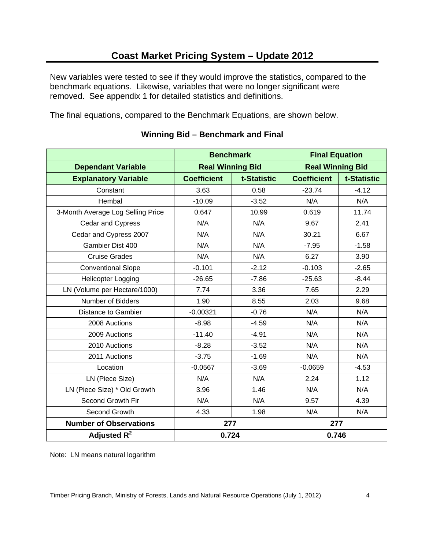New variables were tested to see if they would improve the statistics, compared to the benchmark equations. Likewise, variables that were no longer significant were removed. See appendix 1 for detailed statistics and definitions.

The final equations, compared to the Benchmark Equations, are shown below.

|                                   | <b>Benchmark</b>        |             | <b>Final Equation</b>   |             |
|-----------------------------------|-------------------------|-------------|-------------------------|-------------|
| <b>Dependant Variable</b>         | <b>Real Winning Bid</b> |             | <b>Real Winning Bid</b> |             |
| <b>Explanatory Variable</b>       | <b>Coefficient</b>      | t-Statistic | <b>Coefficient</b>      | t-Statistic |
| Constant                          | 3.63                    | 0.58        | $-23.74$                | $-4.12$     |
| Hembal                            | $-10.09$                | $-3.52$     | N/A                     | N/A         |
| 3-Month Average Log Selling Price | 0.647                   | 10.99       | 0.619                   | 11.74       |
| Cedar and Cypress                 | N/A                     | N/A         | 9.67                    | 2.41        |
| Cedar and Cypress 2007            | N/A                     | N/A         | 30.21                   | 6.67        |
| Gambier Dist 400                  | N/A                     | N/A         | $-7.95$                 | $-1.58$     |
| <b>Cruise Grades</b>              | N/A                     | N/A         | 6.27                    | 3.90        |
| <b>Conventional Slope</b>         | $-0.101$                | $-2.12$     | $-0.103$                | $-2.65$     |
| <b>Helicopter Logging</b>         | $-26.65$                | $-7.86$     | $-25.63$                | $-8.44$     |
| LN (Volume per Hectare/1000)      | 7.74                    | 3.36        | 7.65                    | 2.29        |
| Number of Bidders                 | 1.90                    | 8.55        | 2.03                    | 9.68        |
| <b>Distance to Gambier</b>        | $-0.00321$              | $-0.76$     | N/A                     | N/A         |
| 2008 Auctions                     | $-8.98$                 | $-4.59$     | N/A                     | N/A         |
| 2009 Auctions                     | $-11.40$                | $-4.91$     | N/A                     | N/A         |
| 2010 Auctions                     | $-8.28$                 | $-3.52$     | N/A                     | N/A         |
| 2011 Auctions                     | $-3.75$                 | $-1.69$     | N/A                     | N/A         |
| Location                          | $-0.0567$               | $-3.69$     | $-0.0659$               | $-4.53$     |
| LN (Piece Size)                   | N/A                     | N/A         | 2.24                    | 1.12        |
| LN (Piece Size) * Old Growth      | 3.96                    | 1.46        | N/A                     | N/A         |
| Second Growth Fir                 | N/A                     | N/A         | 9.57                    | 4.39        |
| Second Growth                     | 4.33                    | 1.98        | N/A                     | N/A         |
| <b>Number of Observations</b>     | 277                     |             | 277                     |             |
| Adjusted $R^2$                    | 0.724                   |             | 0.746                   |             |

#### **Winning Bid – Benchmark and Final**

Note: LN means natural logarithm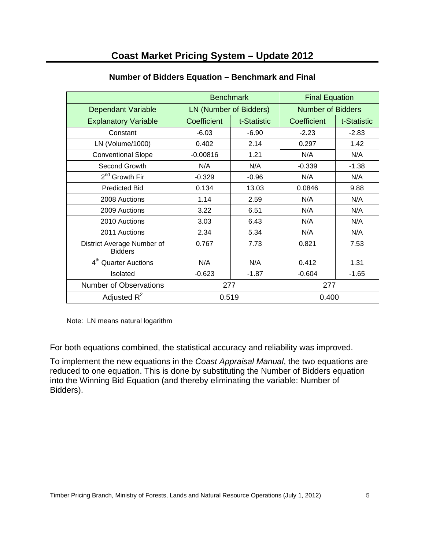|                                              | <b>Benchmark</b> |                        | <b>Final Equation</b> |                          |  |
|----------------------------------------------|------------------|------------------------|-----------------------|--------------------------|--|
| Dependant Variable                           |                  | LN (Number of Bidders) |                       | <b>Number of Bidders</b> |  |
| <b>Explanatory Variable</b>                  | Coefficient      | t-Statistic            | Coefficient           | t-Statistic              |  |
| Constant                                     | $-6.03$          | $-6.90$                | $-2.23$               | $-2.83$                  |  |
| LN (Volume/1000)                             | 0.402            | 2.14                   | 0.297                 | 1.42                     |  |
| <b>Conventional Slope</b>                    | $-0.00816$       | 1.21                   | N/A                   | N/A                      |  |
| Second Growth                                | N/A              | N/A                    | $-0.339$              | $-1.38$                  |  |
| 2 <sup>nd</sup> Growth Fir                   | $-0.329$         | $-0.96$                | N/A                   | N/A                      |  |
| <b>Predicted Bid</b>                         | 0.134            | 13.03                  | 0.0846                | 9.88                     |  |
| 2008 Auctions                                | 1.14             | 2.59                   | N/A                   | N/A                      |  |
| 2009 Auctions                                | 3.22             | 6.51                   | N/A                   | N/A                      |  |
| 2010 Auctions                                | 3.03             | 6.43                   | N/A                   | N/A                      |  |
| 2011 Auctions                                | 2.34             | 5.34                   | N/A                   | N/A                      |  |
| District Average Number of<br><b>Bidders</b> | 0.767            | 7.73                   | 0.821                 | 7.53                     |  |
| 4 <sup>th</sup> Quarter Auctions             | N/A              | N/A                    | 0.412                 | 1.31                     |  |
| Isolated                                     | $-0.623$         | $-1.87$                | $-0.604$              | $-1.65$                  |  |
| <b>Number of Observations</b>                | 277              |                        | 277                   |                          |  |
| Adjusted $R^2$                               | 0.519            |                        | 0.400                 |                          |  |

## **Number of Bidders Equation – Benchmark and Final**

Note: LN means natural logarithm

For both equations combined, the statistical accuracy and reliability was improved.

To implement the new equations in the *Coast Appraisal Manual*, the two equations are reduced to one equation. This is done by substituting the Number of Bidders equation into the Winning Bid Equation (and thereby eliminating the variable: Number of Bidders).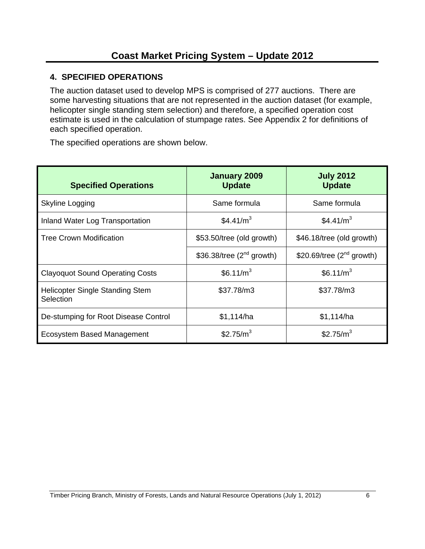### **4. SPECIFIED OPERATIONS**

The auction dataset used to develop MPS is comprised of 277 auctions. There are some harvesting situations that are not represented in the auction dataset (for example, helicopter single standing stem selection) and therefore, a specified operation cost estimate is used in the calculation of stumpage rates. See Appendix 2 for definitions of each specified operation.

The specified operations are shown below.

| <b>Specified Operations</b>                         | January 2009<br><b>Update</b>  | <b>July 2012</b><br><b>Update</b> |
|-----------------------------------------------------|--------------------------------|-----------------------------------|
| Skyline Logging                                     | Same formula                   | Same formula                      |
| Inland Water Log Transportation                     | \$4.41/m <sup>3</sup>          | \$4.41/ $m3$                      |
| <b>Tree Crown Modification</b>                      | \$53.50/tree (old growth)      | \$46.18/tree (old growth)         |
|                                                     | \$36.38/tree $(2^{nd}$ growth) | \$20.69/tree $(2^{nd}$ growth)    |
| <b>Clayoquot Sound Operating Costs</b>              | \$6.11/m <sup>3</sup>          | \$6.11/m <sup>3</sup>             |
| <b>Helicopter Single Standing Stem</b><br>Selection | \$37.78/m3                     | \$37.78/m3                        |
| De-stumping for Root Disease Control                | \$1,114/ha                     | \$1,114/ha                        |
| Ecosystem Based Management                          | \$2.75/m <sup>3</sup>          | \$2.75/ $m3$                      |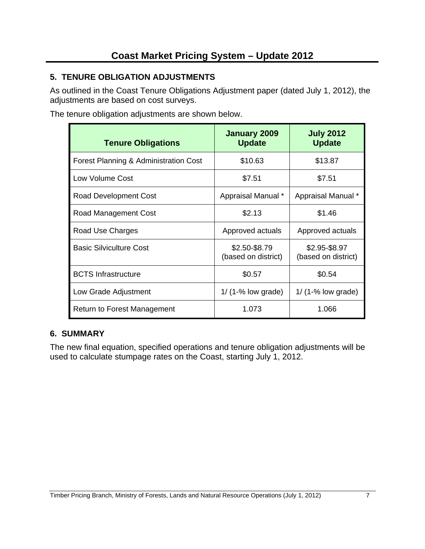# **5. TENURE OBLIGATION ADJUSTMENTS**

As outlined in the Coast Tenure Obligations Adjustment paper (dated July 1, 2012), the adjustments are based on cost surveys.

The tenure obligation adjustments are shown below.

| <b>Tenure Obligations</b>             | January 2009<br><b>Update</b>        | <b>July 2012</b><br><b>Update</b>    |
|---------------------------------------|--------------------------------------|--------------------------------------|
| Forest Planning & Administration Cost | \$10.63                              | \$13.87                              |
| Low Volume Cost                       | \$7.51                               | \$7.51                               |
| Road Development Cost                 | Appraisal Manual *                   | Appraisal Manual *                   |
| Road Management Cost                  | \$2.13                               | \$1.46                               |
| Road Use Charges                      | Approved actuals                     | Approved actuals                     |
| <b>Basic Silviculture Cost</b>        | \$2.50-\$8.79<br>(based on district) | \$2.95-\$8.97<br>(based on district) |
| <b>BCTS</b> Infrastructure            | \$0.57                               | \$0.54                               |
| Low Grade Adjustment                  | $1/$ (1-% low grade)                 | $1/$ (1-% low grade)                 |
| Return to Forest Management           | 1.073                                | 1.066                                |

#### **6. SUMMARY**

The new final equation, specified operations and tenure obligation adjustments will be used to calculate stumpage rates on the Coast, starting July 1, 2012.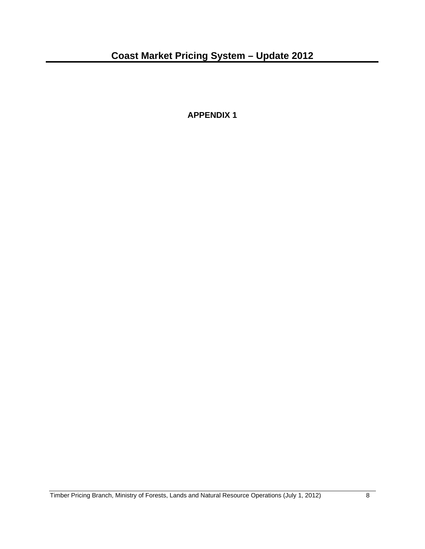**APPENDIX 1**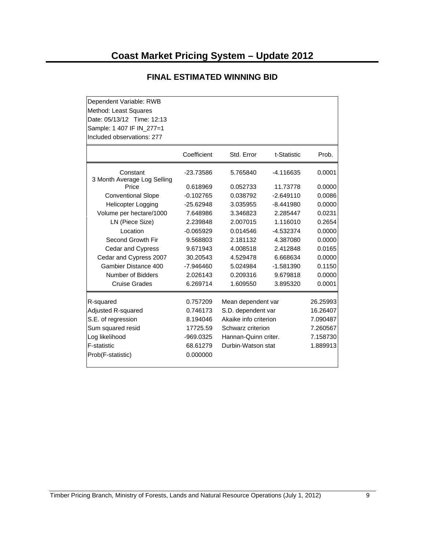| Dependent Variable: RWB<br>Method: Least Squares<br>Date: 05/13/12 Time: 12:13<br>Sample: 1 407 IF IN 277=1<br>Included observations: 277 |             |                       |             |          |
|-------------------------------------------------------------------------------------------------------------------------------------------|-------------|-----------------------|-------------|----------|
|                                                                                                                                           | Coefficient | Std. Error            | t-Statistic | Prob.    |
| Constant<br>3 Month Average Log Selling                                                                                                   | -23.73586   | 5.765840              | -4.116635   | 0.0001   |
| Price                                                                                                                                     | 0.618969    | 0.052733              | 11.73778    | 0.0000   |
| <b>Conventional Slope</b>                                                                                                                 | $-0.102765$ | 0.038792              | $-2.649110$ | 0.0086   |
| <b>Helicopter Logging</b>                                                                                                                 | $-25.62948$ | 3.035955              | $-8.441980$ | 0.0000   |
| Volume per hectare/1000                                                                                                                   | 7.648986    | 3.346823              | 2.285447    | 0.0231   |
| LN (Piece Size)                                                                                                                           | 2.239848    | 2.007015              | 1.116010    | 0.2654   |
| Location                                                                                                                                  | $-0.065929$ | 0.014546              | $-4.532374$ | 0.0000   |
| Second Growth Fir                                                                                                                         | 9.568803    | 2.181132              | 4.387080    | 0.0000   |
| Cedar and Cypress                                                                                                                         | 9.671943    | 4.008518              | 2.412848    | 0.0165   |
| Cedar and Cypress 2007                                                                                                                    | 30.20543    | 4.529478              | 6.668634    | 0.0000   |
| Gambier Distance 400                                                                                                                      | $-7.946460$ | 5.024984              | $-1.581390$ | 0.1150   |
| Number of Bidders                                                                                                                         | 2.026143    | 0.209316              | 9.679818    | 0.0000   |
| <b>Cruise Grades</b>                                                                                                                      | 6.269714    | 1.609550              | 3.895320    | 0.0001   |
| R-squared                                                                                                                                 | 0.757209    | Mean dependent var    |             | 26.25993 |
| Adjusted R-squared                                                                                                                        | 0.746173    | S.D. dependent var    |             | 16.26407 |
| S.E. of regression                                                                                                                        | 8.194046    | Akaike info criterion |             | 7.090487 |
| Sum squared resid                                                                                                                         | 17725.59    | Schwarz criterion     |             | 7.260567 |
| Log likelihood                                                                                                                            | -969.0325   | Hannan-Quinn criter.  |             | 7.158730 |
| <b>F-statistic</b>                                                                                                                        | 68.61279    | Durbin-Watson stat    |             | 1.889913 |
| Prob(F-statistic)                                                                                                                         | 0.000000    |                       |             |          |

#### **FINAL ESTIMATED WINNING BID**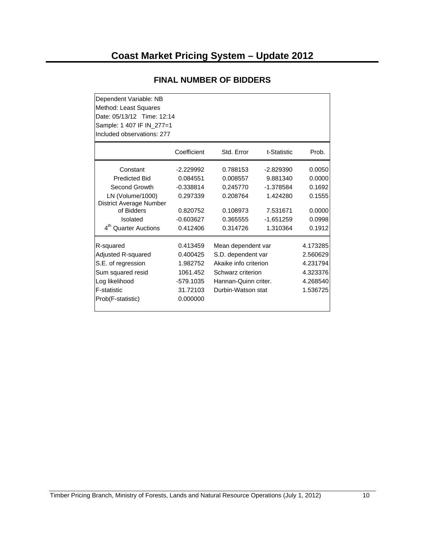| Dependent Variable: NB           |                            |                       |             |          |  |  |  |
|----------------------------------|----------------------------|-----------------------|-------------|----------|--|--|--|
| Method: Least Squares            |                            |                       |             |          |  |  |  |
|                                  | Date: 05/13/12 Time: 12:14 |                       |             |          |  |  |  |
| Sample: 1 407 IF IN_277=1        |                            |                       |             |          |  |  |  |
| Included observations: 277       |                            |                       |             |          |  |  |  |
|                                  | Coefficient                | Std. Error            | t-Statistic | Prob.    |  |  |  |
| Constant                         | $-2.229992$                | 0.788153              | $-2.829390$ | 0.0050   |  |  |  |
| <b>Predicted Bid</b>             | 0.084551                   | 0.008557              | 9.881340    | 0.0000   |  |  |  |
| Second Growth                    | $-0.338814$                | 0.245770              | $-1.378584$ | 0.1692   |  |  |  |
| LN (Volume/1000)                 | 0.297339                   | 0.208764              | 1.424280    | 0.1555   |  |  |  |
| District Average Number          |                            |                       |             |          |  |  |  |
| of Bidders                       | 0.820752                   | 0.108973              | 7.531671    | 0.0000   |  |  |  |
| Isolated                         | $-0.603627$                | 0.365555              | $-1.651259$ | 0.0998   |  |  |  |
| 4 <sup>th</sup> Quarter Auctions | 0.412406                   | 0.314726              | 1.310364    | 0.1912   |  |  |  |
| R-squared                        | 0.413459                   | Mean dependent var    |             | 4.173285 |  |  |  |
| Adjusted R-squared               | 0.400425                   | S.D. dependent var    |             | 2.560629 |  |  |  |
| S.E. of regression               | 1.982752                   | Akaike info criterion |             | 4.231794 |  |  |  |
| Sum squared resid                | 1061.452                   | Schwarz criterion     |             | 4.323376 |  |  |  |
| Log likelihood                   | -579.1035                  | Hannan-Quinn criter.  |             | 4.268540 |  |  |  |
| F-statistic                      | 31.72103                   | Durbin-Watson stat    |             | 1.536725 |  |  |  |
| Prob(F-statistic)                | 0.000000                   |                       |             |          |  |  |  |

#### **FINAL NUMBER OF BIDDERS**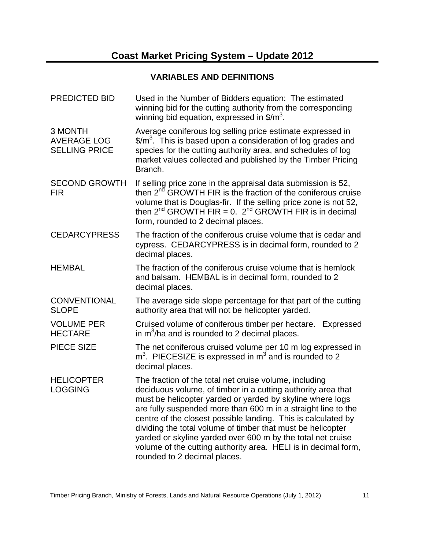# **VARIABLES AND DEFINITIONS**

| <b>PREDICTED BID</b>                                  | Used in the Number of Bidders equation: The estimated<br>winning bid for the cutting authority from the corresponding<br>winning bid equation, expressed in $\frac{m^3}{2}$ .                                                                                                                                                                                                                                                                                                                                                                         |
|-------------------------------------------------------|-------------------------------------------------------------------------------------------------------------------------------------------------------------------------------------------------------------------------------------------------------------------------------------------------------------------------------------------------------------------------------------------------------------------------------------------------------------------------------------------------------------------------------------------------------|
| 3 MONTH<br><b>AVERAGE LOG</b><br><b>SELLING PRICE</b> | Average coniferous log selling price estimate expressed in<br>$\frac{2}{3}$ This is based upon a consideration of log grades and<br>species for the cutting authority area, and schedules of log<br>market values collected and published by the Timber Pricing<br>Branch.                                                                                                                                                                                                                                                                            |
| <b>SECOND GROWTH</b><br><b>FIR</b>                    | If selling price zone in the appraisal data submission is 52,<br>then 2 <sup>nd</sup> GROWTH FIR is the fraction of the coniferous cruise<br>volume that is Douglas-fir. If the selling price zone is not 52,<br>then $2^{nd}$ GROWTH FIR = 0. $2^{nd}$ GROWTH FIR is in decimal<br>form, rounded to 2 decimal places.                                                                                                                                                                                                                                |
| <b>CEDARCYPRESS</b>                                   | The fraction of the coniferous cruise volume that is cedar and<br>cypress. CEDARCYPRESS is in decimal form, rounded to 2<br>decimal places.                                                                                                                                                                                                                                                                                                                                                                                                           |
| <b>HEMBAL</b>                                         | The fraction of the coniferous cruise volume that is hemlock<br>and balsam. HEMBAL is in decimal form, rounded to 2<br>decimal places.                                                                                                                                                                                                                                                                                                                                                                                                                |
| <b>CONVENTIONAL</b><br><b>SLOPE</b>                   | The average side slope percentage for that part of the cutting<br>authority area that will not be helicopter yarded.                                                                                                                                                                                                                                                                                                                                                                                                                                  |
| <b>VOLUME PER</b><br><b>HECTARE</b>                   | Cruised volume of coniferous timber per hectare. Expressed<br>in $m^3/ha$ and is rounded to 2 decimal places.                                                                                                                                                                                                                                                                                                                                                                                                                                         |
| <b>PIECE SIZE</b>                                     | The net coniferous cruised volume per 10 m log expressed in<br>$m3$ . PIECESIZE is expressed in $m3$ and is rounded to 2<br>decimal places.                                                                                                                                                                                                                                                                                                                                                                                                           |
| <b>HELICOPTER</b><br><b>LOGGING</b>                   | The fraction of the total net cruise volume, including<br>deciduous volume, of timber in a cutting authority area that<br>must be helicopter yarded or yarded by skyline where logs<br>are fully suspended more than 600 m in a straight line to the<br>centre of the closest possible landing. This is calculated by<br>dividing the total volume of timber that must be helicopter<br>yarded or skyline yarded over 600 m by the total net cruise<br>volume of the cutting authority area. HELI is in decimal form,<br>rounded to 2 decimal places. |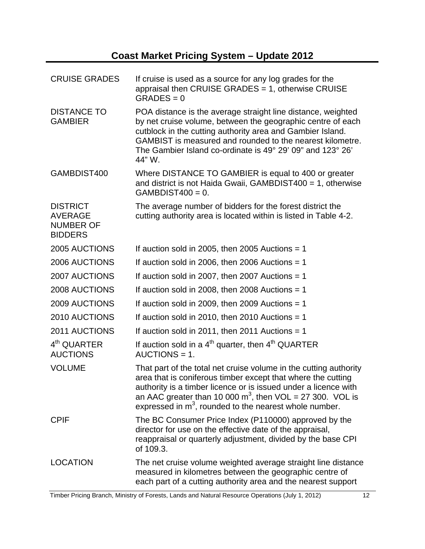| <b>CRUISE GRADES</b>                                                    | If cruise is used as a source for any log grades for the<br>appraisal then CRUISE GRADES = 1, otherwise CRUISE<br>$GRADES = 0$                                                                                                                                                                                                   |
|-------------------------------------------------------------------------|----------------------------------------------------------------------------------------------------------------------------------------------------------------------------------------------------------------------------------------------------------------------------------------------------------------------------------|
| <b>DISTANCE TO</b><br><b>GAMBIER</b>                                    | POA distance is the average straight line distance, weighted<br>by net cruise volume, between the geographic centre of each<br>cutblock in the cutting authority area and Gambier Island.<br>GAMBIST is measured and rounded to the nearest kilometre.<br>The Gambier Island co-ordinate is 49° 29' 09" and 123° 26'<br>44" W.   |
| GAMBDIST400                                                             | Where DISTANCE TO GAMBIER is equal to 400 or greater<br>and district is not Haida Gwaii, GAMBDIST400 = 1, otherwise<br>$GAMBDIST400 = 0.$                                                                                                                                                                                        |
| <b>DISTRICT</b><br><b>AVERAGE</b><br><b>NUMBER OF</b><br><b>BIDDERS</b> | The average number of bidders for the forest district the<br>cutting authority area is located within is listed in Table 4-2.                                                                                                                                                                                                    |
| 2005 AUCTIONS                                                           | If auction sold in 2005, then 2005 Auctions $= 1$                                                                                                                                                                                                                                                                                |
| 2006 AUCTIONS                                                           | If auction sold in 2006, then 2006 Auctions $= 1$                                                                                                                                                                                                                                                                                |
| 2007 AUCTIONS                                                           | If auction sold in 2007, then 2007 Auctions $= 1$                                                                                                                                                                                                                                                                                |
| 2008 AUCTIONS                                                           | If auction sold in 2008, then 2008 Auctions = $1$                                                                                                                                                                                                                                                                                |
| 2009 AUCTIONS                                                           | If auction sold in 2009, then 2009 Auctions $= 1$                                                                                                                                                                                                                                                                                |
| 2010 AUCTIONS                                                           | If auction sold in 2010, then 2010 Auctions $= 1$                                                                                                                                                                                                                                                                                |
| 2011 AUCTIONS                                                           | If auction sold in 2011, then 2011 Auctions = 1                                                                                                                                                                                                                                                                                  |
| 4 <sup>th</sup> QUARTER<br><b>AUCTIONS</b>                              | If auction sold in a $4th$ quarter, then $4th$ QUARTER<br>$AUCTIONS = 1.$                                                                                                                                                                                                                                                        |
| <b>VOLUME</b>                                                           | That part of the total net cruise volume in the cutting authority<br>area that is coniferous timber except that where the cutting<br>authority is a timber licence or is issued under a licence with<br>an AAC greater than 10 000 $m^3$ , then VOL = 27 300. VOL is<br>expressed in $m3$ , rounded to the nearest whole number. |
| <b>CPIF</b>                                                             | The BC Consumer Price Index (P110000) approved by the<br>director for use on the effective date of the appraisal,<br>reappraisal or quarterly adjustment, divided by the base CPI<br>of 109.3.                                                                                                                                   |
| <b>LOCATION</b>                                                         | The net cruise volume weighted average straight line distance<br>measured in kilometres between the geographic centre of<br>each part of a cutting authority area and the nearest support                                                                                                                                        |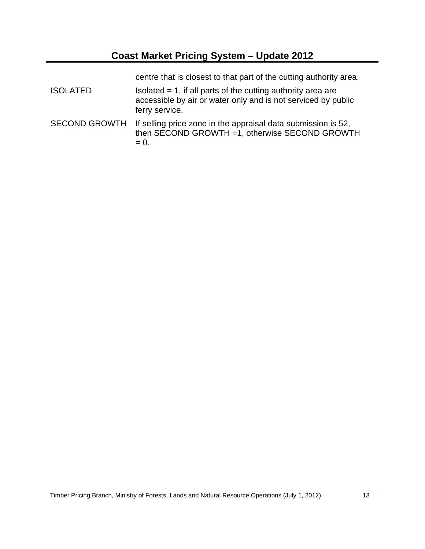centre that is closest to that part of the cutting authority area.

- $ISOLATED$  Isolated = 1, if all parts of the cutting authority area are accessible by air or water only and is not serviced by public ferry service.
- SECOND GROWTH If selling price zone in the appraisal data submission is 52, then SECOND GROWTH =1, otherwise SECOND GROWTH  $= 0.$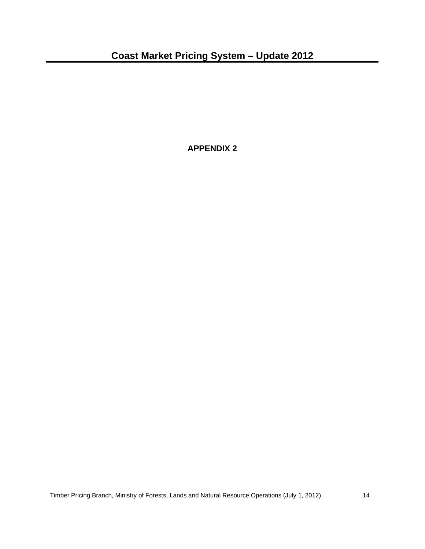**APPENDIX 2**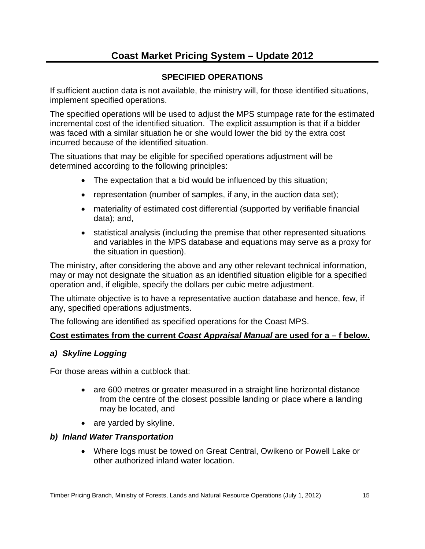# **Coast Market Pricing System – Update 2012**

#### **SPECIFIED OPERATIONS**

If sufficient auction data is not available, the ministry will, for those identified situations, implement specified operations.

The specified operations will be used to adjust the MPS stumpage rate for the estimated incremental cost of the identified situation. The explicit assumption is that if a bidder was faced with a similar situation he or she would lower the bid by the extra cost incurred because of the identified situation.

The situations that may be eligible for specified operations adjustment will be determined according to the following principles:

- The expectation that a bid would be influenced by this situation;
- representation (number of samples, if any, in the auction data set);
- materiality of estimated cost differential (supported by verifiable financial data); and,
- statistical analysis (including the premise that other represented situations and variables in the MPS database and equations may serve as a proxy for the situation in question).

The ministry, after considering the above and any other relevant technical information, may or may not designate the situation as an identified situation eligible for a specified operation and, if eligible, specify the dollars per cubic metre adjustment.

The ultimate objective is to have a representative auction database and hence, few, if any, specified operations adjustments.

The following are identified as specified operations for the Coast MPS.

#### **Cost estimates from the current** *Coast Appraisal Manual* **are used for a – f below.**

#### *a) Skyline Logging*

For those areas within a cutblock that:

- are 600 metres or greater measured in a straight line horizontal distance from the centre of the closest possible landing or place where a landing may be located, and
- are yarded by skyline.

#### *b) Inland Water Transportation*

 Where logs must be towed on Great Central, Owikeno or Powell Lake or other authorized inland water location.